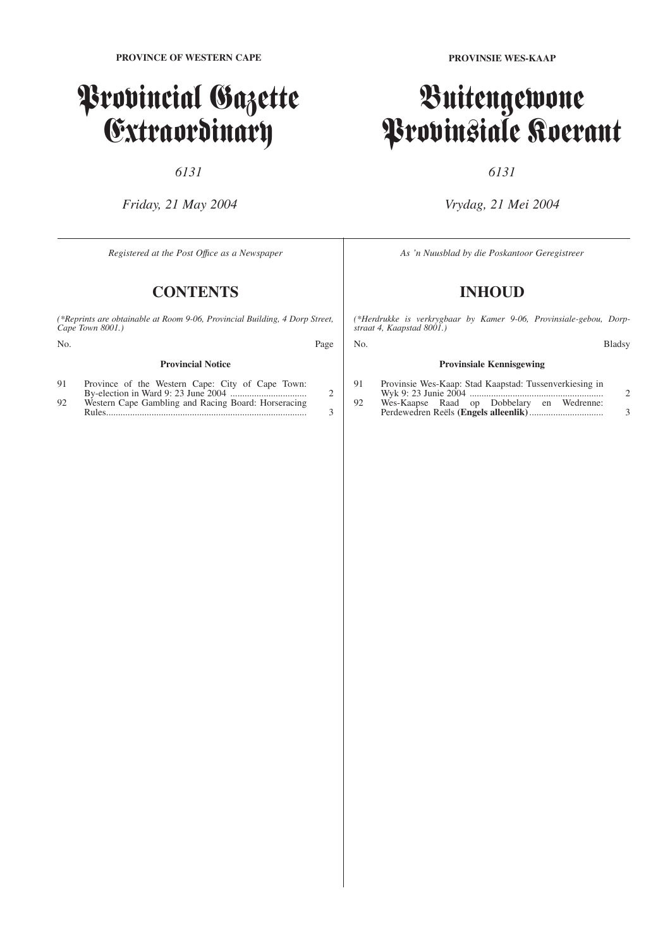## Provincial Gazette Extraordinary

*6131*

*Friday, 21 May 2004*

*Registered at the Post Offıce as a Newspaper*

### **CONTENTS**

*(\*Reprints are obtainable at Room 9-06, Provincial Building, 4 Dorp Street, Cape Town 8001.)*

| No. | Page |
|-----|------|
|     |      |

#### **Provincial Notice**

| 91 | Province of the Western Cape: City of Cape Town:    |  |
|----|-----------------------------------------------------|--|
|    |                                                     |  |
| 92 | Western Cape Gambling and Racing Board: Horseracing |  |
|    |                                                     |  |

**PROVINSIE WES-KAAP**

### Buitengewone Provinsiale Koerant

#### *6131*

#### *Vrydag, 21 Mei 2004*

*As 'n Nuusblad by die Poskantoor Geregistreer*

### **INHOUD**

*(\*Herdrukke is verkrygbaar by Kamer 9-06, Provinsiale-gebou, Dorpstraat 4, Kaapstad 8001.)*

| No. | Bladsy |
|-----|--------|
|-----|--------|

#### **Provinsiale Kennisgewing** 91 Provinsie Wes-Kaap: Stad Kaapstad: Tussenverkiesing in Wyk 9: 23 Junie 2004 ........................................................ 2

| 92 | Wes-Kaapse Raad op Dobbelary en Wedrenne: |  |  |  |
|----|-------------------------------------------|--|--|--|
|    |                                           |  |  |  |

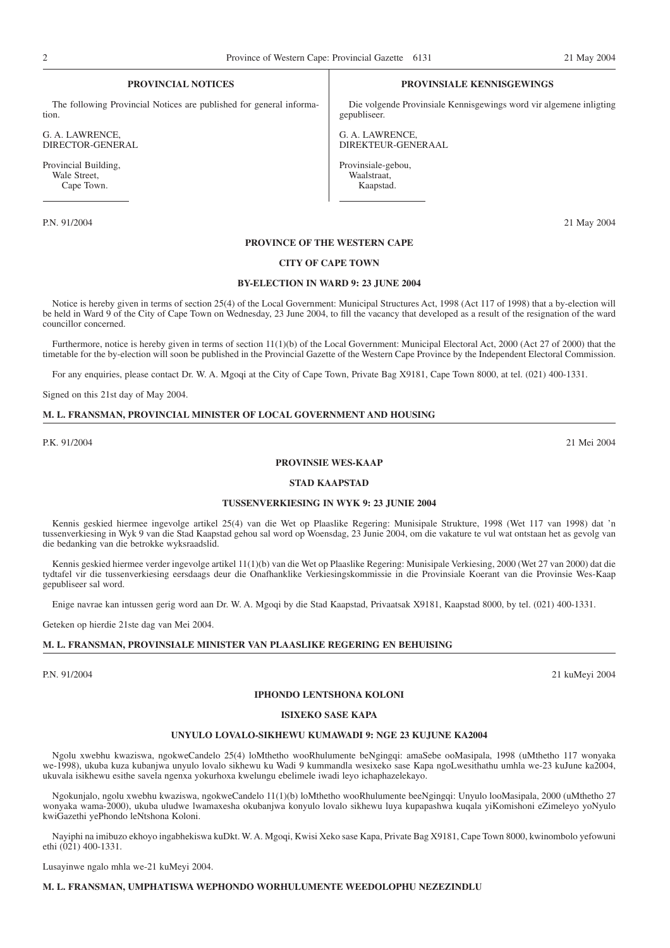#### **PROVINCIAL NOTICES**

The following Provincial Notices are published for general information.

G. A. LAWRENCE, DIRECTOR-GENERAL

Provincial Building, Wale Street, Cape Town.

#### **PROVINSIALE KENNISGEWINGS**

Die volgende Provinsiale Kennisgewings word vir algemene inligting gepubliseer.

G. A. LAWRENCE, DIREKTEUR-GENERAAL

Provinsiale-gebou, Waalstraat, Kaapstad.

P.N. 91/2004 21 May 2004

#### **PROVINCE OF THE WESTERN CAPE**

#### **CITY OF CAPE TOWN**

#### **BY-ELECTION IN WARD 9: 23 JUNE 2004**

Notice is hereby given in terms of section 25(4) of the Local Government: Municipal Structures Act, 1998 (Act 117 of 1998) that a by-election will be held in Ward 9 of the City of Cape Town on Wednesday, 23 June 2004, to fill the vacancy that developed as a result of the resignation of the ward councillor concerned.

Furthermore, notice is hereby given in terms of section 11(1)(b) of the Local Government: Municipal Electoral Act, 2000 (Act 27 of 2000) that the timetable for the by-election will soon be published in the Provincial Gazette of the Western Cape Province by the Independent Electoral Commission.

For any enquiries, please contact Dr. W. A. Mgoqi at the City of Cape Town, Private Bag X9181, Cape Town 8000, at tel. (021) 400-1331.

Signed on this 21st day of May 2004.

#### **M. L. FRANSMAN, PROVINCIAL MINISTER OF LOCAL GOVERNMENT AND HOUSING**

P.K. 91/2004 21 Mei 2004

#### **PROVINSIE WES-KAAP**

#### **STAD KAAPSTAD**

#### **TUSSENVERKIESING IN WYK 9: 23 JUNIE 2004**

Kennis geskied hiermee ingevolge artikel 25(4) van die Wet op Plaaslike Regering: Munisipale Strukture, 1998 (Wet 117 van 1998) dat 'n tussenverkiesing in Wyk 9 van die Stad Kaapstad gehou sal word op Woensdag, 23 Junie 2004, om die vakature te vul wat ontstaan het as gevolg van die bedanking van die betrokke wyksraadslid.

Kennis geskied hiermee verder ingevolge artikel 11(1)(b) van die Wet op Plaaslike Regering: Munisipale Verkiesing, 2000 (Wet 27 van 2000) dat die tydtafel vir die tussenverkiesing eersdaags deur die Onafhanklike Verkiesingskommissie in die Provinsiale Koerant van die Provinsie Wes-Kaap gepubliseer sal word.

Enige navrae kan intussen gerig word aan Dr. W. A. Mgoqi by die Stad Kaapstad, Privaatsak X9181, Kaapstad 8000, by tel. (021) 400-1331.

Geteken op hierdie 21ste dag van Mei 2004.

#### **M. L. FRANSMAN, PROVINSIALE MINISTER VAN PLAASLIKE REGERING EN BEHUISING**

P.N. 91/2004 21 kuMeyi 2004

#### **IPHONDO LENTSHONA KOLONI**

#### **ISIXEKO SASE KAPA**

#### **UNYULO LOVALO-SIKHEWU KUMAWADI 9: NGE 23 KUJUNE KA2004**

Ngolu xwebhu kwaziswa, ngokweCandelo 25(4) loMthetho wooRhulumente beNgingqi: amaSebe ooMasipala, 1998 (uMthetho 117 wonyaka we-1998), ukuba kuza kubanjwa unyulo lovalo sikhewu ku Wadi 9 kummandla wesixeko sase Kapa ngoLwesithathu umhla we-23 kuJune ka2004, ukuvala isikhewu esithe savela ngenxa yokurhoxa kwelungu ebelimele iwadi leyo ichaphazelekayo.

Ngokunjalo, ngolu xwebhu kwaziswa, ngokweCandelo 11(1)(b) loMthetho wooRhulumente beeNgingqi: Unyulo looMasipala, 2000 (uMthetho 27 wonyaka wama-2000), ukuba uludwe lwamaxesha okubanjwa konyulo lovalo sikhewu luya kupapashwa kuqala yiKomishoni eZimeleyo yoNyulo kwiGazethi yePhondo leNtshona Koloni.

Nayiphi na imibuzo ekhoyo ingabhekiswa kuDkt. W. A. Mgoqi, Kwisi Xeko sase Kapa, Private Bag X9181, Cape Town 8000, kwinombolo yefowuni ethi (021) 400-1331.

Lusayinwe ngalo mhla we-21 kuMeyi 2004.

#### **M. L. FRANSMAN, UMPHATISWA WEPHONDO WORHULUMENTE WEEDOLOPHU NEZEZINDLU**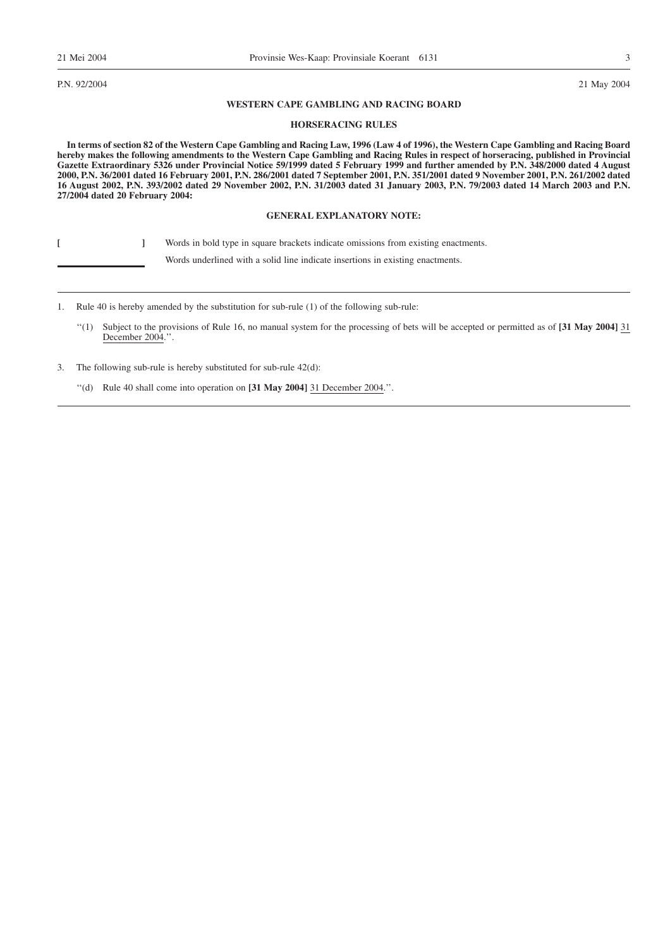P.N. 92/2004 21 May 2004

#### **WESTERN CAPE GAMBLING AND RACING BOARD**

#### **HORSERACING RULES**

**In terms of section 82 of the Western Cape Gambling and Racing Law, 1996 (Law 4 of 1996), the Western Cape Gambling and Racing Board hereby makes the following amendments to the Western Cape Gambling and Racing Rules in respect of horseracing, published in Provincial Gazette Extraordinary 5326 under Provincial Notice 59/1999 dated 5 February 1999 and further amended by P.N. 348/2000 dated 4 August 2000, P.N. 36/2001 dated 16 February 2001, P.N. 286/2001 dated 7 September 2001, P.N. 351/2001 dated 9 November 2001, P.N. 261/2002 dated 16 August 2002, P.N. 393/2002 dated 29 November 2002, P.N. 31/2003 dated 31 January 2003, P.N. 79/2003 dated 14 March 2003 and P.N. 27/2004 dated 20 February 2004:**

#### **GENERAL EXPLANATORY NOTE:**

**[ ]** Words in bold type in square brackets indicate omissions from existing enactments.

Words underlined with a solid line indicate insertions in existing enactments.

1. Rule 40 is hereby amended by the substitution for sub-rule (1) of the following sub-rule:

- ''(1) Subject to the provisions of Rule 16, no manual system for the processing of bets will be accepted or permitted as of **[31 May 2004]** 31 December 2004.''.
- 3. The following sub-rule is hereby substituted for sub-rule 42(d):

''(d) Rule 40 shall come into operation on **[31 May 2004]** 31 December 2004.''.